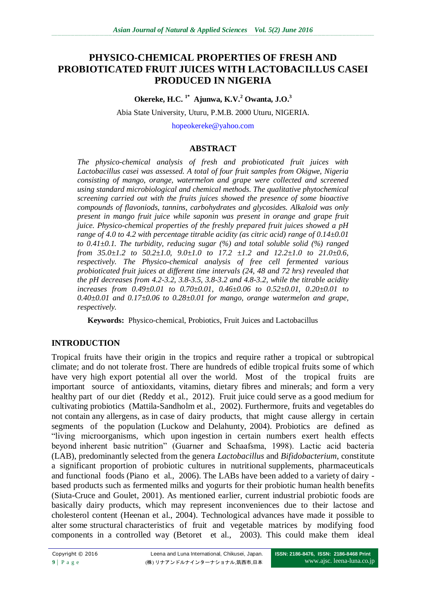# **PHYSICO-CHEMICAL PROPERTIES OF FRESH AND PROBIOTICATED FRUIT JUICES WITH LACTOBACILLUS CASEI PRODUCED IN NIGERIA**

**Okereke, H.C. 1\* Ajunwa, K.V.<sup>2</sup> Owanta, J.O.<sup>3</sup>**

Abia State University, Uturu, P.M.B. 2000 Uturu, NIGERIA.

[hopeokereke@yahoo.com](mailto:hopeokereke@yahoo.com)

### **ABSTRACT**

*The physico-chemical analysis of fresh and probioticated fruit juices with Lactobacillus casei was assessed. A total of four fruit samples from Okigwe, Nigeria consisting of mango, orange, watermelon and grape were collected and screened using standard microbiological and chemical methods. The qualitative phytochemical screening carried out with the fruits juices showed the presence of some bioactive compounds of flavoniods, tannins, carbohydrates and glycosides. Alkaloid was only present in mango fruit juice while saponin was present in orange and grape fruit juice. Physico-chemical properties of the freshly prepared fruit juices showed a pH range of 4.0 to 4.2 with percentage titrable acidity (as citric acid) range of 0.14±0.01 to 0.41±0.1. The turbidity, reducing sugar (%) and total soluble solid (%) ranged from 35.0±1.2 to 50.2±1.0, 9.0±1.0 to 17.2 ±1.2 and 12.2±1.0 to 21.0±0.6, respectively. The Physico-chemical analysis of free cell fermented various probioticated fruit juices at different time intervals (24, 48 and 72 hrs) revealed that the pH decreases from 4.2-3.2, 3.8-3.5, 3.8-3.2 and 4.8-3.2, while the titrable acidity increases from 0.49±0.01 to 0.70±0.01, 0.46±0.06 to 0.52±0.01, 0.20±0.01 to 0.40±0.01 and 0.17±0.06 to 0.28±0.01 for mango, orange watermelon and grape, respectively.* 

**Keywords:** Physico-chemical, Probiotics, Fruit Juices and Lactobacillus

## **INTRODUCTION**

Tropical fruits have their origin in the tropics and require rather a tropical or subtropical climate; and do not tolerate frost. There are hundreds of edible tropical fruits some of which have very high export potential all over the world. Most of the tropical fruits are important source of antioxidants, vitamins, dietary fibres and minerals; and form a very healthy part of our diet (Reddy et al., 2012). Fruit juice could serve as a good medium for cultivating probiotics (Mattila-Sandholm et al., 2002). Furthermore, fruits and vegetables do not contain any allergens, as in case of dairy products, that might cause allergy in certain segments of the population (Luckow and Delahunty, 2004). Probiotics are defined as "living microorganisms, which upon ingestion in certain numbers exert health effects beyond inherent basic nutrition" (Guarner and Schaafsma, 1998). Lactic acid bacteria (LAB), predominantly selected from the genera *Lactobacillus* and *Bifidobacterium*, constitute a significant proportion of probiotic cultures in nutritional supplements, pharmaceuticals and functional foods (Piano et al., 2006). The LABs have been added to a variety of dairy based products such as fermented milks and yogurts for their probiotic human health benefits (Siuta-Cruce and Goulet, 2001). As mentioned earlier, current industrial probiotic foods are basically dairy products, which may represent inconveniences due to their lactose and cholesterol content (Heenan et al., 2004). Technological advances have made it possible to alter some structural characteristics of fruit and vegetable matrices by modifying food components in a controlled way (Betoret et al., 2003). This could make them ideal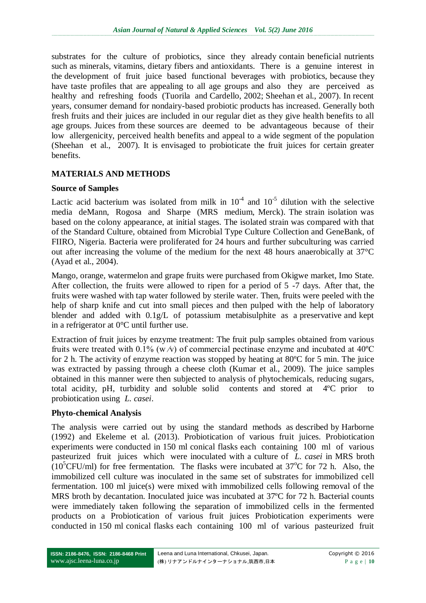substrates for the culture of probiotics, since they already contain beneficial nutrients such as minerals, vitamins, dietary fibers and antioxidants. There is a genuine interest in the development of fruit juice based functional beverages with probiotics, because they have taste profiles that are appealing to all age groups and also they are perceived as healthy and refreshing foods (Tuorila and Cardello, 2002; Sheehan et al., 2007). In recent years, consumer demand for nondairy-based probiotic products has increased. Generally both fresh fruits and their juices are included in our regular diet as they give health benefits to all age groups. Juices from these sources are deemed to be advantageous because of their low allergenicity, perceived health benefits and appeal to a wide segment of the population (Sheehan et al., 2007). It is envisaged to probioticate the fruit juices for certain greater benefits.

# **MATERIALS AND METHODS**

### **Source of Samples**

Lactic acid bacterium was isolated from milk in  $10^{-4}$  and  $10^{-5}$  dilution with the selective media deMann, Rogosa and Sharpe (MRS medium, Merck). The strain isolation was based on the colony appearance, at initial stages. The isolated strain was compared with that of the Standard Culture, obtained from Microbial Type Culture Collection and GeneBank, of FIIRO, Nigeria. Bacteria were proliferated for 24 hours and further subculturing was carried out after increasing the volume of the medium for the next 48 hours anaerobically at 37°C (Ayad et al., 2004).

Mango, orange, watermelon and grape fruits were purchased from Okigwe market, Imo State. After collection, the fruits were allowed to ripen for a period of 5 -7 days. After that, the fruits were washed with tap water followed by sterile water. Then, fruits were peeled with the help of sharp knife and cut into small pieces and then pulped with the help of laboratory blender and added with 0.1g/L of potassium metabisulphite as a preservative and kept in a refrigerator at 0°C until further use.

Extraction of fruit juices by enzyme treatment: The fruit pulp samples obtained from various fruits were treated with 0.1% (w  $\Diamond$ ) of commercial pectinase enzyme and incubated at 40°C for 2 h. The activity of enzyme reaction was stopped by heating at 80ºC for 5 min. The juice was extracted by passing through a cheese cloth (Kumar et al., 2009). The juice samples obtained in this manner were then subjected to analysis of phytochemicals, reducing sugars, total acidity, pH, turbidity and soluble solid contents and stored at 4ºC prior to probiotication using *L. casei*.

## **Phyto-chemical Analysis**

The analysis were carried out by using the standard methods as described by Harborne (1992) and Ekeleme et al. (2013). Probiotication of various fruit juices. Probiotication experiments were conducted in 150 ml conical flasks each containing 100 ml of various pasteurized fruit juices which were inoculated with a culture of *L. casei* in MRS broth (10<sup>5</sup>CFU/ml) for free fermentation. The flasks were incubated at 37 $\degree$ C for 72 h. Also, the immobilized cell culture was inoculated in the same set of substrates for immobilized cell fermentation. 100 ml juice(s) were mixed with immobilized cells following removal of the MRS broth by decantation. Inoculated juice was incubated at 37ºC for 72 h. Bacterial counts were immediately taken following the separation of immobilized cells in the fermented products on a Probiotication of various fruit juices Probiotication experiments were conducted in 150 ml conical flasks each containing 100 ml of various pasteurized fruit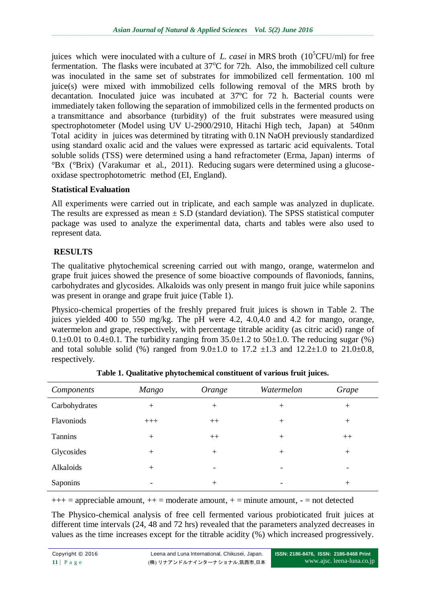juices which were inoculated with a culture of *L. casei* in MRS broth  $(10^5$ CFU/ml) for free fermentation. The flasks were incubated at  $37^{\circ}$ C for 72h. Also, the immobilized cell culture was inoculated in the same set of substrates for immobilized cell fermentation. 100 ml juice(s) were mixed with immobilized cells following removal of the MRS broth by decantation. Inoculated juice was incubated at 37ºC for 72 h. Bacterial counts were immediately taken following the separation of immobilized cells in the fermented products on a transmittance and absorbance (turbidity) of the fruit substrates were measured using spectrophotometer (Model using UV U-2900/2910, Hitachi High tech, Japan) at 540nm Total acidity in juices was determined by titrating with 0.1N NaOH previously standardized using standard oxalic acid and the values were expressed as tartaric acid equivalents. Total soluble solids (TSS) were determined using a hand refractometer (Erma, Japan) interms of °Bx (°Brix) (Varakumar et al., 2011). Reducing sugars were determined using a glucoseoxidase spectrophotometric method (EI, England).

### **Statistical Evaluation**

All experiments were carried out in triplicate, and each sample was analyzed in duplicate. The results are expressed as mean  $\pm$  S.D (standard deviation). The SPSS statistical computer package was used to analyze the experimental data, charts and tables were also used to represent data.

# **RESULTS**

The qualitative phytochemical screening carried out with mango, orange, watermelon and grape fruit juices showed the presence of some bioactive compounds of flavoniods, fannins, carbohydrates and glycosides. Alkaloids was only present in mango fruit juice while saponins was present in orange and grape fruit juice (Table 1).

Physico-chemical properties of the freshly prepared fruit juices is shown in Table 2. The juices yielded 400 to 550 mg/kg. The pH were 4.2, 4.0,4.0 and 4.2 for mango, orange, watermelon and grape, respectively, with percentage titrable acidity (as citric acid) range of 0.1 $\pm$ 0.01 to 0.4 $\pm$ 0.1. The turbidity ranging from 35.0 $\pm$ 1.2 to 50 $\pm$ 1.0. The reducing sugar (%) and total soluble solid (%) ranged from  $9.0 \pm 1.0$  to  $17.2 \pm 1.3$  and  $12.2 \pm 1.0$  to  $21.0 \pm 0.8$ , respectively.

| Components    | Mango                    | Orange | Watermelon               | Grape  |
|---------------|--------------------------|--------|--------------------------|--------|
| Carbohydrates | $+$                      | $+$    | $+$                      | $^{+}$ |
| Flavoniods    | $+++$                    | $++$   | $+$                      | $+$    |
| Tannins       | $+$                      | $++$   | $+$                      | $++$   |
| Glycosides    | $+$                      | $+$    | $^{+}$                   | $+$    |
| Alkaloids     | $+$                      |        | $\overline{\phantom{0}}$ | -      |
| Saponins      | $\overline{\phantom{a}}$ | $^{+}$ | -                        | $^{+}$ |

 $+++$  = appreciable amount,  $++$  = moderate amount,  $+$  = minute amount,  $-$  = not detected

The Physico-chemical analysis of free cell fermented various probioticated fruit juices at different time intervals (24, 48 and 72 hrs) revealed that the parameters analyzed decreases in values as the time increases except for the titrable acidity (%) which increased progressively.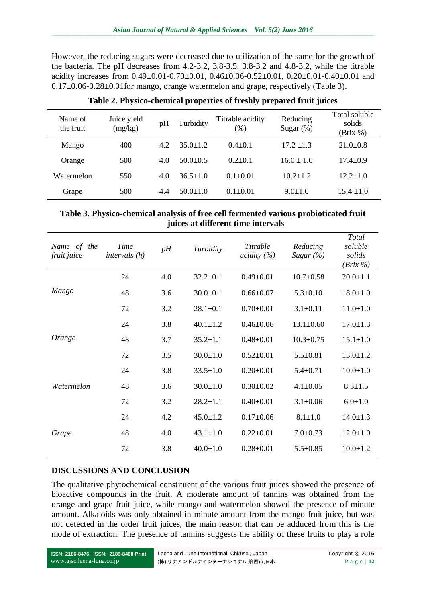However, the reducing sugars were decreased due to utilization of the same for the growth of the bacteria. The pH decreases from 4.2-3.2, 3.8-3.5, 3.8-3.2 and 4.8-3.2, while the titrable acidity increases from  $0.49\pm0.01$ - $0.70\pm0.01$ ,  $0.46\pm0.06$ - $0.52\pm0.01$ ,  $0.20\pm0.01$ - $0.40\pm0.01$  and 0.17±0.06-0.28±0.01for mango, orange watermelon and grape, respectively (Table 3).

| Name of<br>the fruit | Juice yield<br>(mg/kg) | pH  | Turbidity    | Titrable acidity<br>(% ) | Reducing<br>Sugar $(\%)$ | Total soluble<br>solids<br>(Brix %) |
|----------------------|------------------------|-----|--------------|--------------------------|--------------------------|-------------------------------------|
| Mango                | 400                    | 4.2 | $35.0 + 1.2$ | $0.4 \pm 0.1$            | $17.2 \pm 1.3$           | $21.0 \pm 0.8$                      |
| Orange               | 500                    | 4.0 | $50.0+0.5$   | $0.2 + 0.1$              | $16.0 \pm 1.0$           | $17.4 \pm 0.9$                      |
| Watermelon           | 550                    | 4.0 | $36.5 + 1.0$ | $0.1 \pm 0.01$           | $10.2 + 1.2$             | $12.2 \pm 1.0$                      |
| Grape                | 500                    | 4.4 | $50.0 + 1.0$ | $0.1 \pm 0.01$           | $9.0 \pm 1.0$            | $15.4 \pm 1.0$                      |

#### **Table 2. Physico-chemical properties of freshly prepared fruit juices**

#### **Table 3. Physico-chemical analysis of free cell fermented various probioticated fruit juices at different time intervals**

| Name of the<br>fruit juice | <b>Time</b><br>intervals (h) | pH  | Turbidity      | Titrable<br>$\alpha$ <i>cidity</i> $(\%)$ | Reducing<br>Sugar $(\% )$ | Total<br>soluble<br>solids<br>$(Brix \%)$ |
|----------------------------|------------------------------|-----|----------------|-------------------------------------------|---------------------------|-------------------------------------------|
| Mango                      | 24                           | 4.0 | $32.2 \pm 0.1$ | $0.49 \pm 0.01$                           | $10.7 \pm 0.58$           | $20.0 \pm 1.1$                            |
|                            | 48                           | 3.6 | $30.0 + 0.1$   | $0.66 \pm 0.07$                           | $5.3 \pm 0.10$            | $18.0 \pm 1.0$                            |
|                            | 72                           | 3.2 | $28.1 \pm 0.1$ | $0.70 \pm 0.01$                           | $3.1 \pm 0.11$            | $11.0 \pm 1.0$                            |
| Orange                     | 24                           | 3.8 | $40.1 \pm 1.2$ | $0.46 \pm 0.06$                           | $13.1 \pm 0.60$           | $17.0 \pm 1.3$                            |
|                            | 48                           | 3.7 | $35.2 \pm 1.1$ | $0.48 \pm 0.01$                           | $10.3 \pm 0.75$           | $15.1 \pm 1.0$                            |
|                            | 72                           | 3.5 | $30.0 \pm 1.0$ | $0.52 \pm 0.01$                           | $5.5 \pm 0.81$            | $13.0 \pm 1.2$                            |
| <i>Watermelon</i>          | 24                           | 3.8 | $33.5 \pm 1.0$ | $0.20 \pm 0.01$                           | $5.4 \pm 0.71$            | $10.0 \pm 1.0$                            |
|                            | 48                           | 3.6 | $30.0 \pm 1.0$ | $0.30 \pm 0.02$                           | $4.1 \pm 0.05$            | $8.3 \pm 1.5$                             |
|                            | 72                           | 3.2 | $28.2 \pm 1.1$ | $0.40 \pm 0.01$                           | $3.1 \pm 0.06$            | $6.0 \pm 1.0$                             |
| Grape                      | 24                           | 4.2 | $45.0 \pm 1.2$ | $0.17 \pm 0.06$                           | $8.1 \pm 1.0$             | $14.0 \pm 1.3$                            |
|                            | 48                           | 4.0 | $43.1 \pm 1.0$ | $0.22 \pm 0.01$                           | $7.0 \pm 0.73$            | $12.0 \pm 1.0$                            |
|                            | 72                           | 3.8 | $40.0 \pm 1.0$ | $0.28 \pm 0.01$                           | $5.5 \pm 0.85$            | $10.0 \pm 1.2$                            |

#### **DISCUSSIONS AND CONCLUSION**

The qualitative phytochemical constituent of the various fruit juices showed the presence of bioactive compounds in the fruit. A moderate amount of tannins was obtained from the orange and grape fruit juice, while mango and watermelon showed the presence of minute amount. Alkaloids was only obtained in minute amount from the mango fruit juice, but was not detected in the order fruit juices, the main reason that can be adduced from this is the mode of extraction. The presence of tannins suggests the ability of these fruits to play a role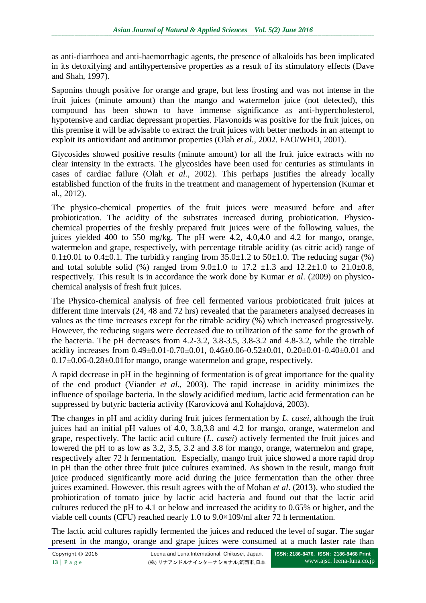as anti-diarrhoea and anti-haemorrhagic agents, the presence of alkaloids has been implicated in its detoxifying and antihypertensive properties as a result of its stimulatory effects (Dave and Shah, 1997).

Saponins though positive for orange and grape, but less frosting and was not intense in the fruit juices (minute amount) than the mango and watermelon juice (not detected), this compound has been shown to have immense significance as anti-hypercholesterol, hypotensive and cardiac depressant properties. Flavonoids was positive for the fruit juices, on this premise it will be advisable to extract the fruit juices with better methods in an attempt to exploit its antioxidant and antitumor properties (Olah *et al.,* 2002. FAO/WHO, 2001).

Glycosides showed positive results (minute amount) for all the fruit juice extracts with no clear intensity in the extracts. The glycosides have been used for centuries as stimulants in cases of cardiac failure (Olah *et al.,* 2002). This perhaps justifies the already locally established function of the fruits in the treatment and management of hypertension (Kumar et al., 2012).

The physico-chemical properties of the fruit juices were measured before and after probiotication. The acidity of the substrates increased during probiotication. Physicochemical properties of the freshly prepared fruit juices were of the following values, the juices yielded 400 to 550 mg/kg. The pH were 4.2, 4.0,4.0 and 4.2 for mango, orange, watermelon and grape, respectively, with percentage titrable acidity (as citric acid) range of 0.1 $\pm$ 0.01 to 0.4 $\pm$ 0.1. The turbidity ranging from 35.0 $\pm$ 1.2 to 50 $\pm$ 1.0. The reducing sugar (%) and total soluble solid (%) ranged from  $9.0 \pm 1.0$  to  $17.2 \pm 1.3$  and  $12.2 \pm 1.0$  to  $21.0 \pm 0.8$ , respectively. This result is in accordance the work done by Kumar *et al*. (2009) on physicochemical analysis of fresh fruit juices.

The Physico-chemical analysis of free cell fermented various probioticated fruit juices at different time intervals (24, 48 and 72 hrs) revealed that the parameters analysed decreases in values as the time increases except for the titrable acidity (%) which increased progressively. However, the reducing sugars were decreased due to utilization of the same for the growth of the bacteria. The pH decreases from 4.2-3.2, 3.8-3.5, 3.8-3.2 and 4.8-3.2, while the titrable acidity increases from  $0.49\pm0.01$ - $0.70\pm0.01$ ,  $0.46\pm0.06$ - $0.52\pm0.01$ ,  $0.20\pm0.01$ - $0.40\pm0.01$  and  $0.17\pm0.06$ -0.28 $\pm0.01$  for mango, orange watermelon and grape, respectively.

A rapid decrease in pH in the beginning of fermentation is of great importance for the quality of the end product (Viander *et al*., 2003). The rapid increase in acidity minimizes the influence of spoilage bacteria. In the slowly acidified medium, lactic acid fermentation can be suppressed by butyric bacteria activity (Karovicová and Kohajdová, 2003).

The changes in pH and acidity during fruit juices fermentation by *L. casei*, although the fruit juices had an initial pH values of 4.0, 3.8,3.8 and 4.2 for mango, orange, watermelon and grape, respectively. The lactic acid culture (*L. casei*) actively fermented the fruit juices and lowered the pH to as low as 3.2, 3.5, 3.2 and 3.8 for mango, orange, watermelon and grape, respectively after 72 h fermentation. Especially, mango fruit juice showed a more rapid drop in pH than the other three fruit juice cultures examined. As shown in the result, mango fruit juice produced significantly more acid during the juice fermentation than the other three juices examined. However, this result agrees with the of Mohan *et al*. (2013), who studied the probiotication of tomato juice by lactic acid bacteria and found out that the lactic acid cultures reduced the pH to 4.1 or below and increased the acidity to 0.65% or higher, and the viable cell counts (CFU) reached nearly 1.0 to 9.0×109/ml after 72 h fermentation.

The lactic acid cultures rapidly fermented the juices and reduced the level of sugar. The sugar present in the mango, orange and grape juices were consumed at a much faster rate than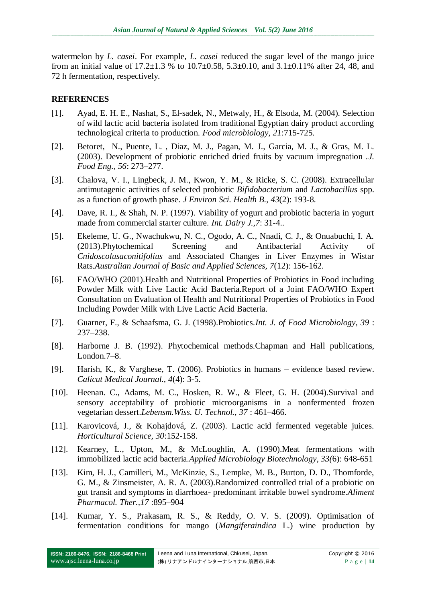watermelon by *L. casei*. For example*, L. casei* reduced the sugar level of the mango juice from an initial value of  $17.2 \pm 1.3$  % to  $10.7 \pm 0.58$ ,  $5.3 \pm 0.10$ , and  $3.1 \pm 0.11$ % after 24, 48, and 72 h fermentation, respectively.

### **REFERENCES**

- [1]. Ayad, E. H. E., Nashat, S., El-sadek, N., Metwaly, H., & Elsoda, M. (2004). Selection of wild lactic acid bacteria isolated from traditional Egyptian dairy product according technological criteria to production. *Food microbiology, 21*:715-725.
- [2]. Betoret, N., Puente, L. , Diaz, M. J., Pagan, M. J., Garcia, M. J., & Gras, M. L. (2003). Development of probiotic enriched dried fruits by vacuum impregnation .*J. Food Eng., 56*: 273–277.
- [3]. Chalova, V. I., Lingbeck, J. M., Kwon, Y. M., & Ricke, S. C. (2008). Extracellular antimutagenic activities of selected probiotic *Bifidobacterium* and *Lactobacillus* spp. as a function of growth phase. *J Environ Sci. Health B., 43*(2): 193-8.
- [4]. Dave, R. I., & Shah, N. P. (1997). Viability of yogurt and probiotic bacteria in yogurt made from commercial starter culture. *Int. Dairy J.,7*: 31-4..
- [5]. Ekeleme, U. G., Nwachukwu, N. C., Ogodo, A. C., Nnadi, C. J., & Onuabuchi, I. A. (2013).Phytochemical Screening and Antibacterial Activity of *Cnidoscolusaconitifolius* and Associated Changes in Liver Enzymes in Wistar Rats.*Australian Journal of Basic and Applied Sciences, 7*(12): 156-162.
- [6]. FAO/WHO (2001).Health and Nutritional Properties of Probiotics in Food including Powder Milk with Live Lactic Acid Bacteria.Report of a Joint FAO/WHO Expert Consultation on Evaluation of Health and Nutritional Properties of Probiotics in Food Including Powder Milk with Live Lactic Acid Bacteria.
- [7]. Guarner, F., & Schaafsma, G. J. (1998).Probiotics.*Int. J. of Food Microbiology, 39* : 237–238.
- [8]. Harborne J. B. (1992). Phytochemical methods.Chapman and Hall publications, London.7–8.
- [9]. Harish, K., & Varghese, T. (2006). Probiotics in humans evidence based review. *Calicut Medical Journal., 4*(4): 3-5.
- [10]. Heenan. C., Adams, M. C., Hosken, R. W., & Fleet, G. H. (2004).Survival and sensory acceptability of probiotic microorganisms in a nonfermented frozen vegetarian dessert.*Lebensm.Wiss. U. Technol., 37* : 461–466.
- [11]. Karovicová, J., & Kohajdová, Z. (2003). Lactic acid fermented vegetable juices. *Horticultural Science, 30*:152-158.
- [12]. Kearney, L., Upton, M., & McLoughlin, A. (1990).Meat fermentations with immobilized lactic acid bacteria.*Applied Microbiology Biotechnology, 33(*6): 648-651
- [13]. Kim, H. J., Camilleri, M., McKinzie, S., Lempke, M. B., Burton, D. D., Thomforde, G. M., & Zinsmeister, A. R. A. (2003).Randomized controlled trial of a probiotic on gut transit and symptoms in diarrhoea- predominant irritable bowel syndrome.*Aliment Pharmacol. Ther.,17* :895–904
- [14]. Kumar, Y. S., Prakasam, R. S., & Reddy, O. V. S. (2009). Optimisation of fermentation conditions for mango (*Mangiferaindica* L.) wine production by